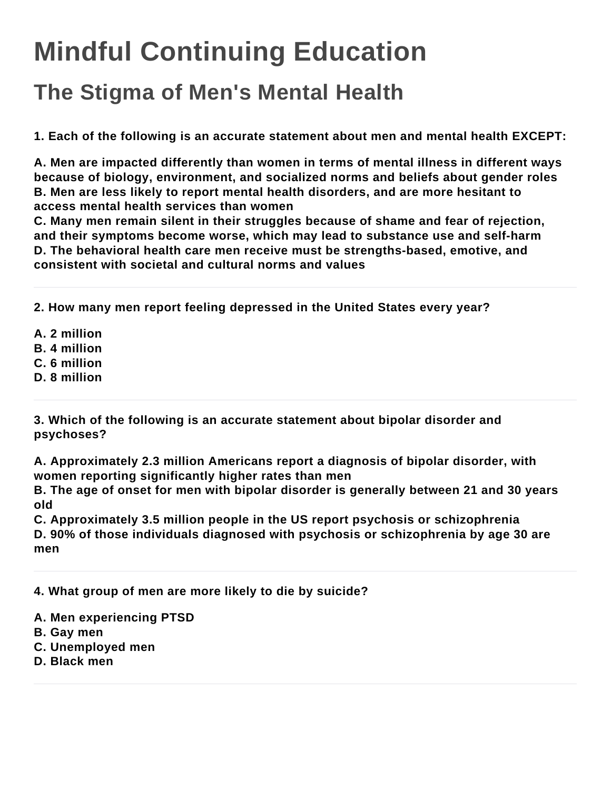## **Mindful Continuing Education**

## **The Stigma of Men's Mental Health**

**1. Each of the following is an accurate statement about men and mental health EXCEPT:**

**A. Men are impacted differently than women in terms of mental illness in different ways because of biology, environment, and socialized norms and beliefs about gender roles B. Men are less likely to report mental health disorders, and are more hesitant to access mental health services than women**

**C. Many men remain silent in their struggles because of shame and fear of rejection, and their symptoms become worse, which may lead to substance use and self-harm D. The behavioral health care men receive must be strengths-based, emotive, and consistent with societal and cultural norms and values**

**2. How many men report feeling depressed in the United States every year?**

**A. 2 million**

- **B. 4 million**
- **C. 6 million**
- **D. 8 million**

**3. Which of the following is an accurate statement about bipolar disorder and psychoses?**

**A. Approximately 2.3 million Americans report a diagnosis of bipolar disorder, with women reporting significantly higher rates than men**

**B. The age of onset for men with bipolar disorder is generally between 21 and 30 years old**

**C. Approximately 3.5 million people in the US report psychosis or schizophrenia D. 90% of those individuals diagnosed with psychosis or schizophrenia by age 30 are men**

**4. What group of men are more likely to die by suicide?**

- **A. Men experiencing PTSD**
- **B. Gay men**
- **C. Unemployed men**
- **D. Black men**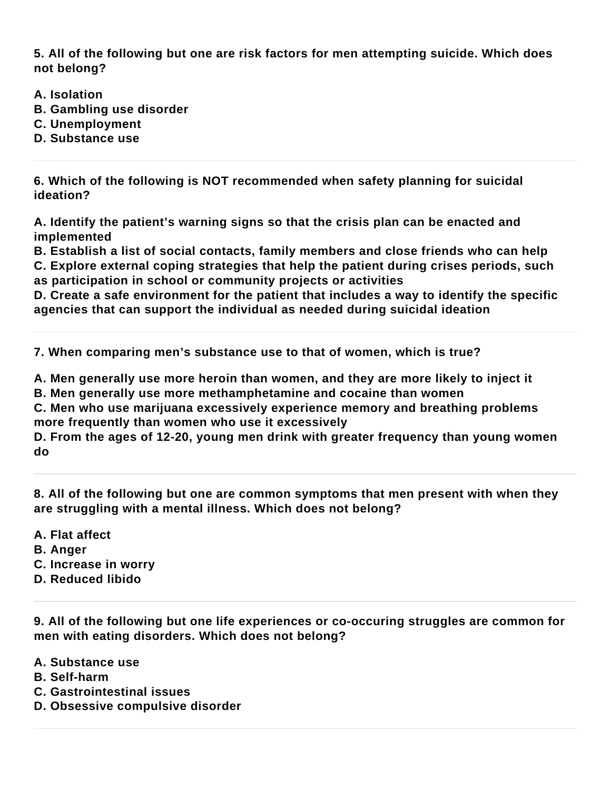**5. All of the following but one are risk factors for men attempting suicide. Which does not belong?**

- **A. Isolation**
- **B. Gambling use disorder**
- **C. Unemployment**
- **D. Substance use**

**6. Which of the following is NOT recommended when safety planning for suicidal ideation?**

**A. Identify the patient's warning signs so that the crisis plan can be enacted and implemented**

**B. Establish a list of social contacts, family members and close friends who can help C. Explore external coping strategies that help the patient during crises periods, such** 

**as participation in school or community projects or activities**

**D. Create a safe environment for the patient that includes a way to identify the specific agencies that can support the individual as needed during suicidal ideation**

**7. When comparing men's substance use to that of women, which is true?**

**A. Men generally use more heroin than women, and they are more likely to inject it B. Men generally use more methamphetamine and cocaine than women**

**C. Men who use marijuana excessively experience memory and breathing problems more frequently than women who use it excessively**

**D. From the ages of 12-20, young men drink with greater frequency than young women do**

**8. All of the following but one are common symptoms that men present with when they are struggling with a mental illness. Which does not belong?**

**A. Flat affect B. Anger C. Increase in worry D. Reduced libido**

**9. All of the following but one life experiences or co-occuring struggles are common for men with eating disorders. Which does not belong?**

- **A. Substance use**
- **B. Self-harm**
- **C. Gastrointestinal issues**
- **D. Obsessive compulsive disorder**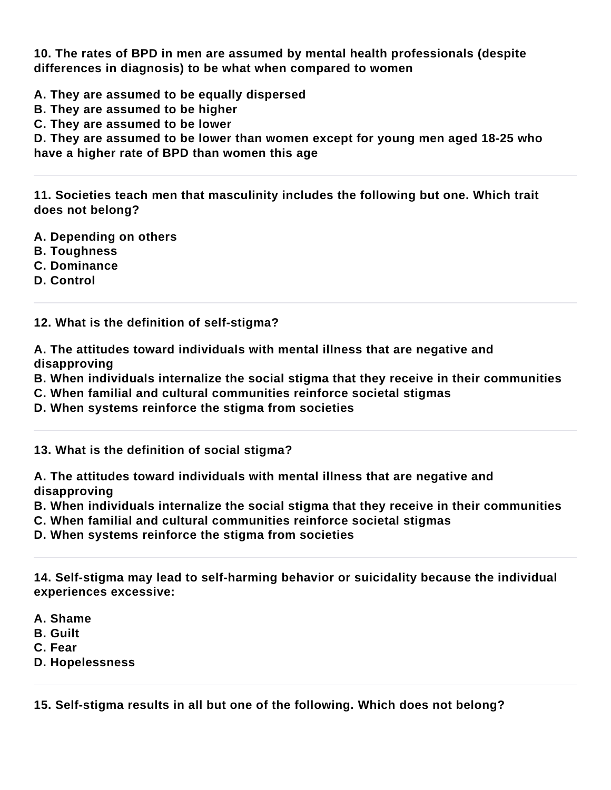**10. The rates of BPD in men are assumed by mental health professionals (despite differences in diagnosis) to be what when compared to women**

**A. They are assumed to be equally dispersed**

**B. They are assumed to be higher**

**C. They are assumed to be lower**

**D. They are assumed to be lower than women except for young men aged 18-25 who have a higher rate of BPD than women this age**

**11. Societies teach men that masculinity includes the following but one. Which trait does not belong?**

- **A. Depending on others**
- **B. Toughness**
- **C. Dominance**
- **D. Control**

**12. What is the definition of self-stigma?**

**A. The attitudes toward individuals with mental illness that are negative and disapproving**

- **B. When individuals internalize the social stigma that they receive in their communities**
- **C. When familial and cultural communities reinforce societal stigmas**
- **D. When systems reinforce the stigma from societies**

**13. What is the definition of social stigma?**

**A. The attitudes toward individuals with mental illness that are negative and disapproving**

**B. When individuals internalize the social stigma that they receive in their communities**

**C. When familial and cultural communities reinforce societal stigmas**

**D. When systems reinforce the stigma from societies**

**14. Self-stigma may lead to self-harming behavior or suicidality because the individual experiences excessive:**

**A. Shame**

**B. Guilt**

**C. Fear**

**D. Hopelessness**

**15. Self-stigma results in all but one of the following. Which does not belong?**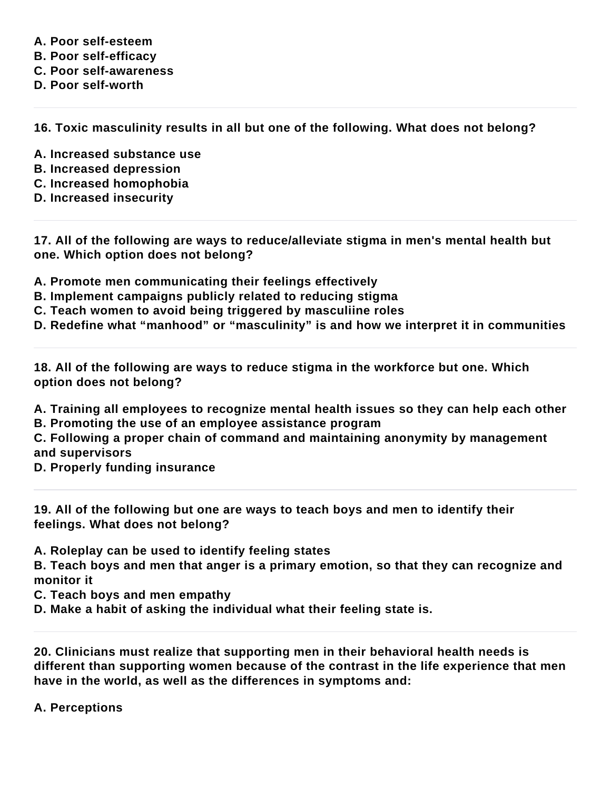**A. Poor self-esteem B. Poor self-efficacy C. Poor self-awareness D. Poor self-worth**

**16. Toxic masculinity results in all but one of the following. What does not belong?**

- **A. Increased substance use**
- **B. Increased depression**
- **C. Increased homophobia**
- **D. Increased insecurity**

**17. All of the following are ways to reduce/alleviate stigma in men's mental health but one. Which option does not belong?**

**A. Promote men communicating their feelings effectively**

- **B. Implement campaigns publicly related to reducing stigma**
- **C. Teach women to avoid being triggered by masculiine roles**
- **D. Redefine what "manhood" or "masculinity" is and how we interpret it in communities**

**18. All of the following are ways to reduce stigma in the workforce but one. Which option does not belong?**

**A. Training all employees to recognize mental health issues so they can help each other**

**B. Promoting the use of an employee assistance program**

**C. Following a proper chain of command and maintaining anonymity by management and supervisors**

**D. Properly funding insurance**

**19. All of the following but one are ways to teach boys and men to identify their feelings. What does not belong?**

**A. Roleplay can be used to identify feeling states**

**B. Teach boys and men that anger is a primary emotion, so that they can recognize and monitor it**

**C. Teach boys and men empathy**

**D. Make a habit of asking the individual what their feeling state is.**

**20. Clinicians must realize that supporting men in their behavioral health needs is different than supporting women because of the contrast in the life experience that men have in the world, as well as the differences in symptoms and:**

## **A. Perceptions**